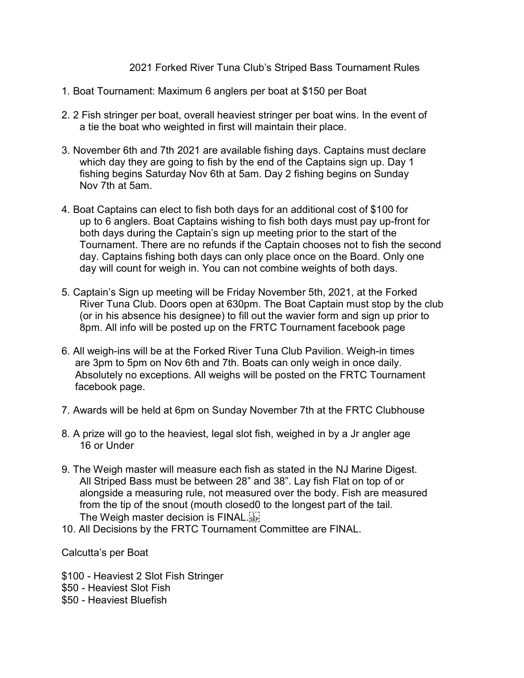2021 Forked River Tuna Club's Striped Bass Tournament Rules

- 1. Boat Tournament: Maximum 6 anglers per boat at \$150 per Boat
- 2. 2 Fish stringer per boat, overall heaviest stringer per boat wins. In the event of a tie the boat who weighted in first will maintain their place.
- 3. November 6th and 7th 2021 are available fishing days. Captains must declare which day they are going to fish by the end of the Captains sign up. Day 1 fishing begins Saturday Nov 6th at 5am. Day 2 fishing begins on Sunday Nov 7th at 5am.
- 4. Boat Captains can elect to fish both days for an additional cost of \$100 for up to 6 anglers. Boat Captains wishing to fish both days must pay up-front for both days during the Captain's sign up meeting prior to the start of the Tournament. There are no refunds if the Captain chooses not to fish the second day. Captains fishing both days can only place once on the Board. Only one day will count for weigh in. You can not combine weights of both days.
- 5. Captain's Sign up meeting will be Friday November 5th, 2021, at the Forked River Tuna Club. Doors open at 630pm. The Boat Captain must stop by the club (or in his absence his designee) to fill out the wavier form and sign up prior to 8pm. All info will be posted up on the FRTC Tournament facebook page
- 6. All weigh-ins will be at the Forked River Tuna Club Pavilion. Weigh-in times are 3pm to 5pm on Nov 6th and 7th. Boats can only weigh in once daily. Absolutely no exceptions. All weighs will be posted on the FRTC Tournament facebook page.
- 7. Awards will be held at 6pm on Sunday November 7th at the FRTC Clubhouse
- 8. A prize will go to the heaviest, legal slot fish, weighed in by a Jr angler age 16 or Under
- 9. The Weigh master will measure each fish as stated in the NJ Marine Digest. All Striped Bass must be between 28" and 38". Lay fish Flat on top of or alongside a measuring rule, not measured over the body. Fish are measured from the tip of the snout (mouth closed0 to the longest part of the tail. The Weigh master decision is FINAL.
- 10. All Decisions by the FRTC Tournament Committee are FINAL.

Calcutta's per Boat

\$100 - Heaviest 2 Slot Fish Stringer \$50 - Heaviest Slot Fish \$50 - Heaviest Bluefish